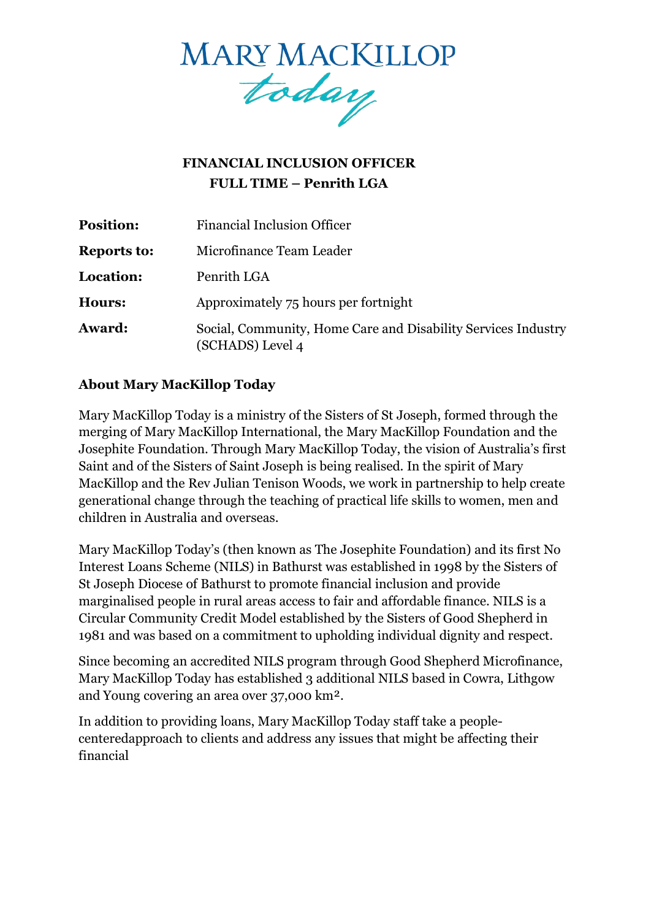

# **FINANCIAL INCLUSION OFFICER FULL TIME – Penrith LGA**

| <b>Position:</b>   | <b>Financial Inclusion Officer</b>                                                |
|--------------------|-----------------------------------------------------------------------------------|
| <b>Reports to:</b> | Microfinance Team Leader                                                          |
| Location:          | Penrith LGA                                                                       |
| <b>Hours:</b>      | Approximately 75 hours per fortnight                                              |
| Award:             | Social, Community, Home Care and Disability Services Industry<br>(SCHADS) Level 4 |

### **About Mary MacKillop Today**

Mary MacKillop Today is a ministry of the Sisters of St Joseph, formed through the merging of Mary MacKillop International, the Mary MacKillop Foundation and the Josephite Foundation. Through Mary MacKillop Today, the vision of Australia's first Saint and of the Sisters of Saint Joseph is being realised. In the spirit of [Mary](https://www.marymackilloptoday.org.au/who-we-are/mary-mackillops-story/)  [MacKillop a](https://www.marymackilloptoday.org.au/who-we-are/mary-mackillops-story/)nd the Rev Julian Tenison Woods, we work in partnership to help create generational change through the teaching of practical life skills to women, men and children in Australia and overseas.

Mary MacKillop Today's (then known as The Josephite Foundation) and its first No Interest Loans Scheme (NILS) in Bathurst was established in 1998 by the Sisters of St Joseph Diocese of Bathurst to promote financial inclusion and provide marginalised people in rural areas access to fair and affordable finance. NILS is a Circular Community Credit Model established by the Sisters of Good Shepherd in 1981 and was based on a commitment to upholding individual dignity and respect.

Since becoming an accredited NILS program through Good Shepherd Microfinance, Mary MacKillop Today has established 3 additional NILS based in Cowra, Lithgow and Young covering an area over 37,000 km².

In addition to providing loans, Mary MacKillop Today staff take a peoplecentered approach to clients and address any issues that might be affecting their financial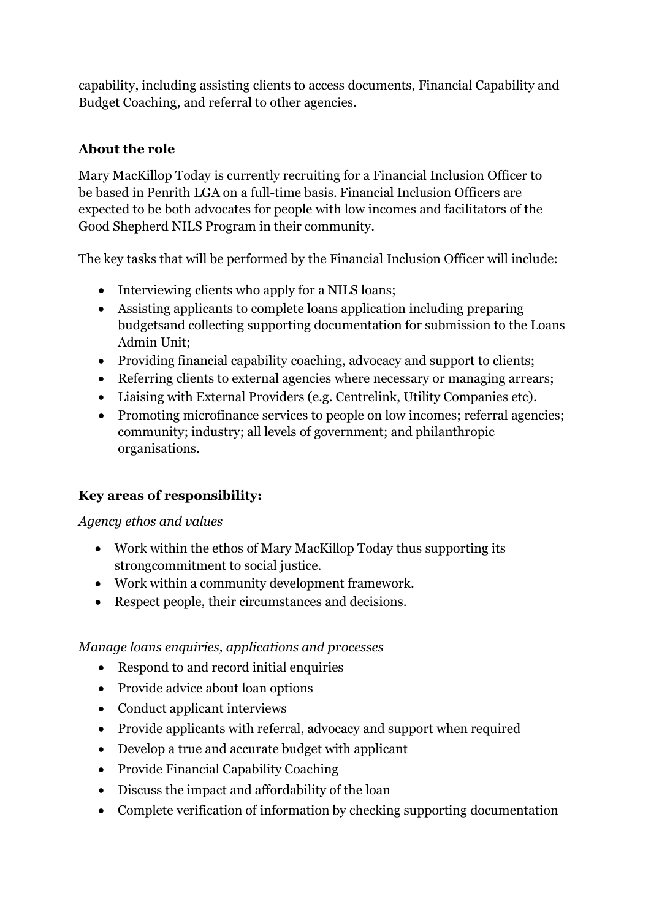capability, including assisting clients to access documents, Financial Capability and Budget Coaching, and referral to other agencies.

# **About the role**

Mary MacKillop Today is currently recruiting for a Financial Inclusion Officer to be based in Penrith LGA on a full-time basis. Financial Inclusion Officers are expected to be both advocates for people with low incomes and facilitators of the Good Shepherd NILS Program in their community.

The key tasks that will be performed by the Financial Inclusion Officer will include:

- Interviewing clients who apply for a NILS loans;
- Assisting applicants to complete loans application including preparing budgetsand collecting supporting documentation for submission to the Loans Admin Unit;
- Providing financial capability coaching, advocacy and support to clients;
- Referring clients to external agencies where necessary or managing arrears;
- Liaising with External Providers (e.g. Centrelink, Utility Companies etc).
- Promoting microfinance services to people on low incomes; referral agencies; community; industry; all levels of government; and philanthropic organisations.

## **Key areas of responsibility:**

*Agency ethos and values*

- Work within the ethos of Mary MacKillop Today thus supporting its strongcommitment to social justice.
- Work within a community development framework.
- Respect people, their circumstances and decisions.

#### *Manage loans enquiries, applications and processes*

- Respond to and record initial enquiries
- Provide advice about loan options
- Conduct applicant interviews
- Provide applicants with referral, advocacy and support when required
- Develop a true and accurate budget with applicant
- Provide Financial Capability Coaching
- Discuss the impact and affordability of the loan
- Complete verification of information by checking supporting documentation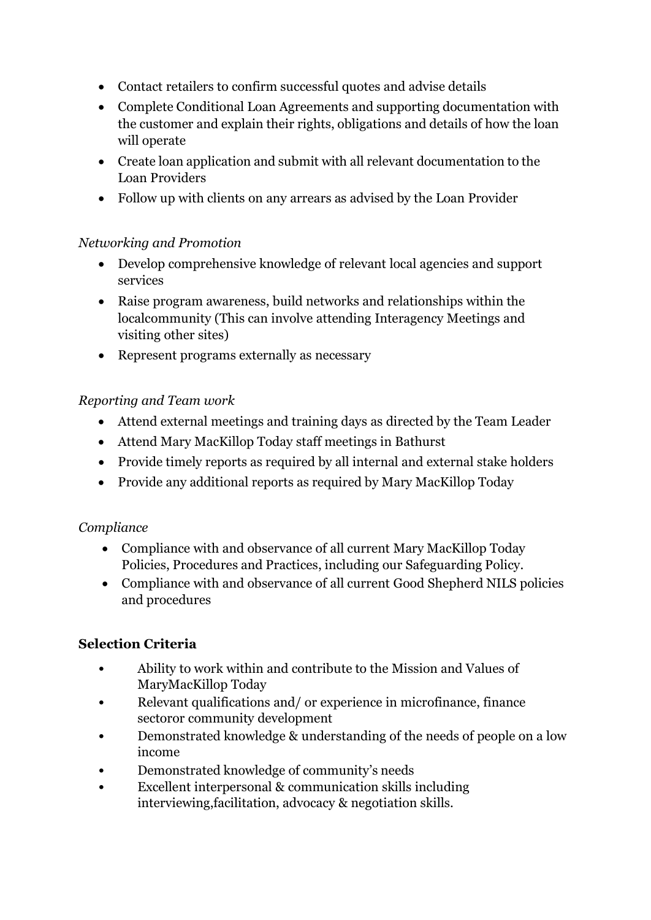- Contact retailers to confirm successful quotes and advise details
- Complete Conditional Loan Agreements and supporting documentation with the customer and explain their rights, obligations and details of how the loan will operate
- Create loan application and submit with all relevant documentation to the Loan Providers
- Follow up with clients on any arrears as advised by the Loan Provider

### *Networking and Promotion*

- Develop comprehensive knowledge of relevant local agencies and support services
- Raise program awareness, build networks and relationships within the localcommunity (This can involve attending Interagency Meetings and visiting other sites)
- Represent programs externally as necessary

### *Reporting and Team work*

- Attend external meetings and training days as directed by the Team Leader
- Attend Mary MacKillop Today staff meetings in Bathurst
- Provide timely reports as required by all internal and external stake holders
- Provide any additional reports as required by Mary MacKillop Today

#### *Compliance*

- Compliance with and observance of all current Mary MacKillop Today Policies, Procedures and Practices, including our Safeguarding Policy.
- Compliance with and observance of all current Good Shepherd NILS policies and procedures

## **Selection Criteria**

- Ability to work within and contribute to the Mission and Values of MaryMacKillop Today
- Relevant qualifications and/ or experience in microfinance, finance sectoror community development
- Demonstrated knowledge & understanding of the needs of people on a low income
- Demonstrated knowledge of community's needs
- Excellent interpersonal & communication skills including interviewing,facilitation, advocacy & negotiation skills.